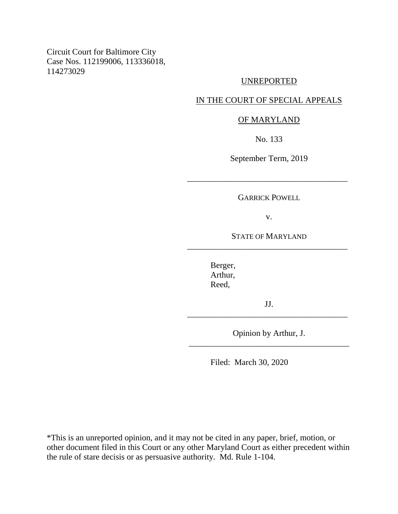Circuit Court for Baltimore City Case Nos. 112199006, 113336018, 114273029

### UNREPORTED

## IN THE COURT OF SPECIAL APPEALS

## OF MARYLAND

No. 133

September Term, 2019

GARRICK POWELL

\_\_\_\_\_\_\_\_\_\_\_\_\_\_\_\_\_\_\_\_\_\_\_\_\_\_\_\_\_\_\_\_\_\_\_\_\_\_

v.

STATE OF MARYLAND \_\_\_\_\_\_\_\_\_\_\_\_\_\_\_\_\_\_\_\_\_\_\_\_\_\_\_\_\_\_\_\_\_\_\_\_\_\_

> Berger, Arthur, Reed,

JJ. \_\_\_\_\_\_\_\_\_\_\_\_\_\_\_\_\_\_\_\_\_\_\_\_\_\_\_\_\_\_\_\_\_\_\_\_\_\_

Opinion by Arthur, J. \_\_\_\_\_\_\_\_\_\_\_\_\_\_\_\_\_\_\_\_\_\_\_\_\_\_\_\_\_\_\_\_\_\_\_\_\_\_

Filed: March 30, 2020

\*This is an unreported opinion, and it may not be cited in any paper, brief, motion, or other document filed in this Court or any other Maryland Court as either precedent within the rule of stare decisis or as persuasive authority. Md. Rule 1-104.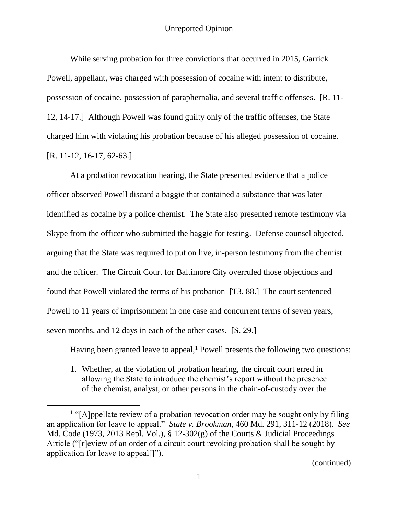While serving probation for three convictions that occurred in 2015, Garrick Powell, appellant, was charged with possession of cocaine with intent to distribute, possession of cocaine, possession of paraphernalia, and several traffic offenses. [R. 11- 12, 14-17.] Although Powell was found guilty only of the traffic offenses, the State charged him with violating his probation because of his alleged possession of cocaine. [R. 11-12, 16-17, 62-63.]

At a probation revocation hearing, the State presented evidence that a police officer observed Powell discard a baggie that contained a substance that was later identified as cocaine by a police chemist. The State also presented remote testimony via Skype from the officer who submitted the baggie for testing. Defense counsel objected, arguing that the State was required to put on live, in-person testimony from the chemist and the officer. The Circuit Court for Baltimore City overruled those objections and found that Powell violated the terms of his probation [T3. 88.] The court sentenced Powell to 11 years of imprisonment in one case and concurrent terms of seven years, seven months, and 12 days in each of the other cases. [S. 29.]

Having been granted leave to appeal, $<sup>1</sup>$  Powell presents the following two questions:</sup>

1. Whether, at the violation of probation hearing, the circuit court erred in allowing the State to introduce the chemist's report without the presence of the chemist, analyst, or other persons in the chain-of-custody over the

 $\overline{a}$ 

<sup>&</sup>lt;sup>1</sup> "[A]ppellate review of a probation revocation order may be sought only by filing an application for leave to appeal." *State v. Brookman*, 460 Md. 291, 311-12 (2018). *See* Md. Code (1973, 2013 Repl. Vol.), § 12-302(g) of the Courts & Judicial Proceedings Article ("[r]eview of an order of a circuit court revoking probation shall be sought by application for leave to appeal[]").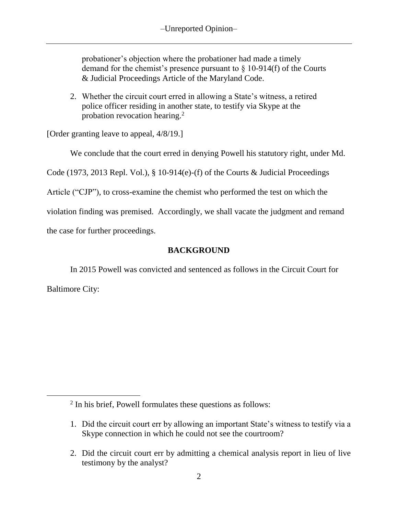probationer's objection where the probationer had made a timely demand for the chemist's presence pursuant to  $\S$  10-914(f) of the Courts & Judicial Proceedings Article of the Maryland Code.

2. Whether the circuit court erred in allowing a State's witness, a retired police officer residing in another state, to testify via Skype at the probation revocation hearing.<sup>2</sup>

[Order granting leave to appeal, 4/8/19.]

We conclude that the court erred in denying Powell his statutory right, under Md.

Code (1973, 2013 Repl. Vol.), § 10-914(e)-(f) of the Courts & Judicial Proceedings

Article ("CJP"), to cross-examine the chemist who performed the test on which the

violation finding was premised. Accordingly, we shall vacate the judgment and remand

the case for further proceedings.

 $\overline{a}$ 

# **BACKGROUND**

In 2015 Powell was convicted and sentenced as follows in the Circuit Court for Baltimore City:

<sup>&</sup>lt;sup>2</sup> In his brief, Powell formulates these questions as follows:

<sup>1.</sup> Did the circuit court err by allowing an important State's witness to testify via a Skype connection in which he could not see the courtroom?

<sup>2.</sup> Did the circuit court err by admitting a chemical analysis report in lieu of live testimony by the analyst?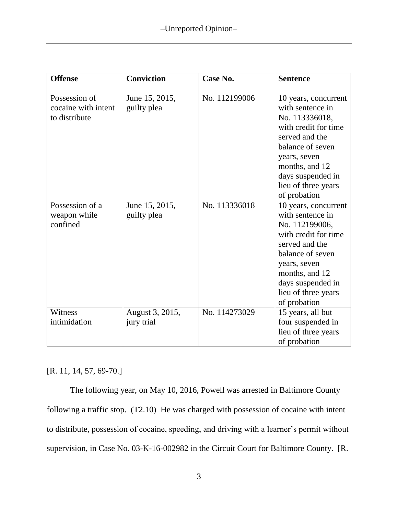| <b>Offense</b>                                        | <b>Conviction</b>             | Case No.      | <b>Sentence</b>                                                                                                                                                                                                        |
|-------------------------------------------------------|-------------------------------|---------------|------------------------------------------------------------------------------------------------------------------------------------------------------------------------------------------------------------------------|
| Possession of<br>cocaine with intent<br>to distribute | June 15, 2015,<br>guilty plea | No. 112199006 | 10 years, concurrent<br>with sentence in<br>No. 113336018,<br>with credit for time<br>served and the<br>balance of seven<br>years, seven<br>months, and 12<br>days suspended in<br>lieu of three years<br>of probation |
| Possession of a<br>weapon while<br>confined           | June 15, 2015,<br>guilty plea | No. 113336018 | 10 years, concurrent<br>with sentence in<br>No. 112199006,<br>with credit for time<br>served and the<br>balance of seven<br>years, seven<br>months, and 12<br>days suspended in<br>lieu of three years<br>of probation |
| Witness<br>intimidation                               | August 3, 2015,<br>jury trial | No. 114273029 | 15 years, all but<br>four suspended in<br>lieu of three years<br>of probation                                                                                                                                          |

## [R. 11, 14, 57, 69-70.]

The following year, on May 10, 2016, Powell was arrested in Baltimore County following a traffic stop. (T2.10) He was charged with possession of cocaine with intent to distribute, possession of cocaine, speeding, and driving with a learner's permit without supervision, in Case No. 03-K-16-002982 in the Circuit Court for Baltimore County. [R.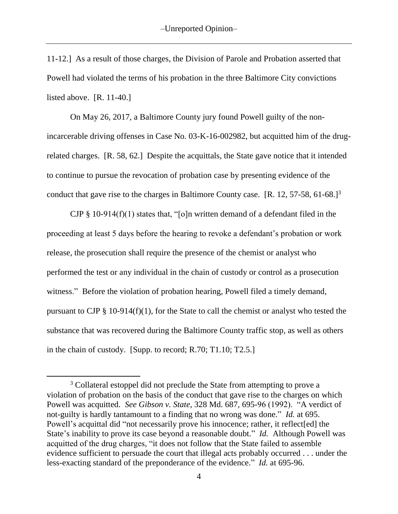11-12.] As a result of those charges, the Division of Parole and Probation asserted that Powell had violated the terms of his probation in the three Baltimore City convictions listed above. [R. 11-40.]

On May 26, 2017, a Baltimore County jury found Powell guilty of the nonincarcerable driving offenses in Case No. 03-K-16-002982, but acquitted him of the drugrelated charges. [R. 58, 62.] Despite the acquittals, the State gave notice that it intended to continue to pursue the revocation of probation case by presenting evidence of the conduct that gave rise to the charges in Baltimore County case.  $[R. 12, 57-58, 61-68.]^3$ 

CJP § 10-914(f)(1) states that, "[o]n written demand of a defendant filed in the proceeding at least 5 days before the hearing to revoke a defendant's probation or work release, the prosecution shall require the presence of the chemist or analyst who performed the test or any individual in the chain of custody or control as a prosecution witness." Before the violation of probation hearing, Powell filed a timely demand, pursuant to CJP  $\S$  10-914(f)(1), for the State to call the chemist or analyst who tested the substance that was recovered during the Baltimore County traffic stop, as well as others in the chain of custody. [Supp. to record; R.70; T1.10; T2.5.]

 $\overline{a}$ 

<sup>&</sup>lt;sup>3</sup> Collateral estoppel did not preclude the State from attempting to prove a violation of probation on the basis of the conduct that gave rise to the charges on which Powell was acquitted. *See Gibson v. State*, 328 Md. 687, 695-96 (1992). "A verdict of not-guilty is hardly tantamount to a finding that no wrong was done." *Id.* at 695. Powell's acquittal did "not necessarily prove his innocence; rather, it reflect[ed] the State's inability to prove its case beyond a reasonable doubt." *Id.* Although Powell was acquitted of the drug charges, "it does not follow that the State failed to assemble evidence sufficient to persuade the court that illegal acts probably occurred . . . under the less-exacting standard of the preponderance of the evidence." *Id.* at 695-96.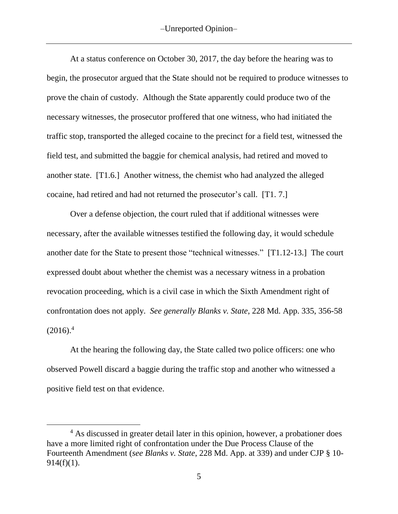At a status conference on October 30, 2017, the day before the hearing was to begin, the prosecutor argued that the State should not be required to produce witnesses to prove the chain of custody. Although the State apparently could produce two of the necessary witnesses, the prosecutor proffered that one witness, who had initiated the traffic stop, transported the alleged cocaine to the precinct for a field test, witnessed the field test, and submitted the baggie for chemical analysis, had retired and moved to another state. [T1.6.] Another witness, the chemist who had analyzed the alleged cocaine, had retired and had not returned the prosecutor's call. [T1. 7.]

Over a defense objection, the court ruled that if additional witnesses were necessary, after the available witnesses testified the following day, it would schedule another date for the State to present those "technical witnesses." [T1.12-13.] The court expressed doubt about whether the chemist was a necessary witness in a probation revocation proceeding, which is a civil case in which the Sixth Amendment right of confrontation does not apply. *See generally Blanks v. State*, 228 Md. App. 335, 356-58  $(2016).<sup>4</sup>$ 

At the hearing the following day, the State called two police officers: one who observed Powell discard a baggie during the traffic stop and another who witnessed a positive field test on that evidence.

<sup>&</sup>lt;sup>4</sup> As discussed in greater detail later in this opinion, however, a probationer does have a more limited right of confrontation under the Due Process Clause of the Fourteenth Amendment (*see Blanks v. State*, 228 Md. App. at 339) and under CJP § 10-  $914(f)(1)$ .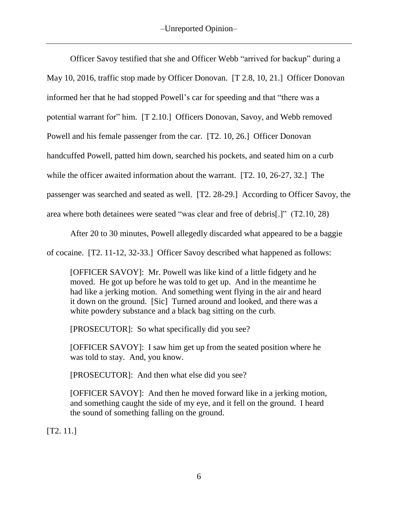Officer Savoy testified that she and Officer Webb "arrived for backup" during a May 10, 2016, traffic stop made by Officer Donovan. [T 2.8, 10, 21.] Officer Donovan informed her that he had stopped Powell's car for speeding and that "there was a potential warrant for" him. [T 2.10.] Officers Donovan, Savoy, and Webb removed Powell and his female passenger from the car. [T2. 10, 26.] Officer Donovan handcuffed Powell, patted him down, searched his pockets, and seated him on a curb while the officer awaited information about the warrant. [T2. 10, 26-27, 32.] The passenger was searched and seated as well. [T2. 28-29.] According to Officer Savoy, the area where both detainees were seated "was clear and free of debris[.]" (T2.10, 28)

After 20 to 30 minutes, Powell allegedly discarded what appeared to be a baggie

of cocaine. [T2. 11-12, 32-33.] Officer Savoy described what happened as follows:

[OFFICER SAVOY]: Mr. Powell was like kind of a little fidgety and he moved. He got up before he was told to get up. And in the meantime he had like a jerking motion. And something went flying in the air and heard it down on the ground. [Sic] Turned around and looked, and there was a white powdery substance and a black bag sitting on the curb.

[PROSECUTOR]: So what specifically did you see?

[OFFICER SAVOY]: I saw him get up from the seated position where he was told to stay. And, you know.

[PROSECUTOR]: And then what else did you see?

[OFFICER SAVOY]: And then he moved forward like in a jerking motion, and something caught the side of my eye, and it fell on the ground. I heard the sound of something falling on the ground.

[T2. 11.]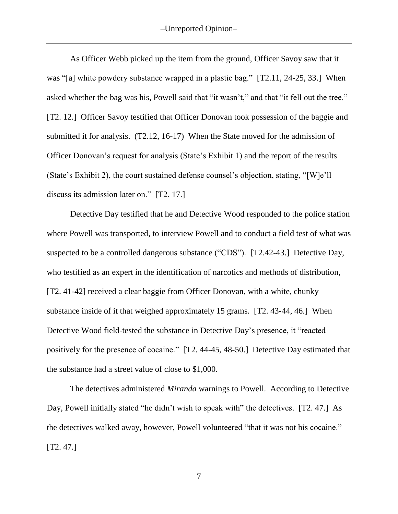As Officer Webb picked up the item from the ground, Officer Savoy saw that it was "[a] white powdery substance wrapped in a plastic bag." [T2.11, 24-25, 33.] When asked whether the bag was his, Powell said that "it wasn't," and that "it fell out the tree." [T2. 12.] Officer Savoy testified that Officer Donovan took possession of the baggie and submitted it for analysis. (T2.12, 16-17) When the State moved for the admission of Officer Donovan's request for analysis (State's Exhibit 1) and the report of the results (State's Exhibit 2), the court sustained defense counsel's objection, stating, "[W]e'll discuss its admission later on." [T2. 17.]

Detective Day testified that he and Detective Wood responded to the police station where Powell was transported, to interview Powell and to conduct a field test of what was suspected to be a controlled dangerous substance ("CDS"). [T2.42-43.] Detective Day, who testified as an expert in the identification of narcotics and methods of distribution, [T2. 41-42] received a clear baggie from Officer Donovan, with a white, chunky substance inside of it that weighed approximately 15 grams. [T2. 43-44, 46.] When Detective Wood field-tested the substance in Detective Day's presence, it "reacted positively for the presence of cocaine." [T2. 44-45, 48-50.] Detective Day estimated that the substance had a street value of close to \$1,000.

The detectives administered *Miranda* warnings to Powell. According to Detective Day, Powell initially stated "he didn't wish to speak with" the detectives. [T2. 47.] As the detectives walked away, however, Powell volunteered "that it was not his cocaine." [T2. 47.]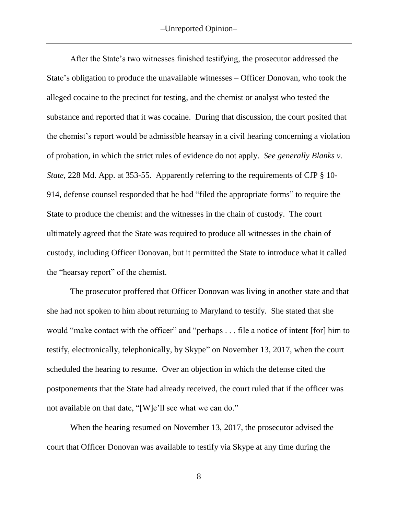After the State's two witnesses finished testifying, the prosecutor addressed the State's obligation to produce the unavailable witnesses – Officer Donovan, who took the alleged cocaine to the precinct for testing, and the chemist or analyst who tested the substance and reported that it was cocaine. During that discussion, the court posited that the chemist's report would be admissible hearsay in a civil hearing concerning a violation of probation, in which the strict rules of evidence do not apply. *See generally Blanks v. State*, 228 Md. App. at 353-55. Apparently referring to the requirements of CJP § 10- 914, defense counsel responded that he had "filed the appropriate forms" to require the State to produce the chemist and the witnesses in the chain of custody. The court ultimately agreed that the State was required to produce all witnesses in the chain of custody, including Officer Donovan, but it permitted the State to introduce what it called the "hearsay report" of the chemist.

The prosecutor proffered that Officer Donovan was living in another state and that she had not spoken to him about returning to Maryland to testify. She stated that she would "make contact with the officer" and "perhaps . . . file a notice of intent [for] him to testify, electronically, telephonically, by Skype" on November 13, 2017, when the court scheduled the hearing to resume. Over an objection in which the defense cited the postponements that the State had already received, the court ruled that if the officer was not available on that date, "[W]e'll see what we can do."

When the hearing resumed on November 13, 2017, the prosecutor advised the court that Officer Donovan was available to testify via Skype at any time during the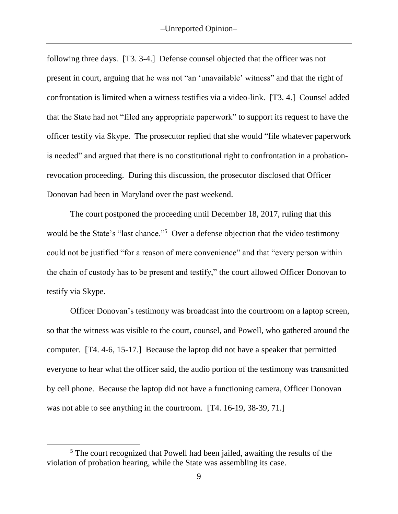following three days. [T3. 3-4.] Defense counsel objected that the officer was not present in court, arguing that he was not "an 'unavailable' witness" and that the right of confrontation is limited when a witness testifies via a video-link. [T3. 4.] Counsel added that the State had not "filed any appropriate paperwork" to support its request to have the officer testify via Skype. The prosecutor replied that she would "file whatever paperwork is needed" and argued that there is no constitutional right to confrontation in a probationrevocation proceeding. During this discussion, the prosecutor disclosed that Officer Donovan had been in Maryland over the past weekend.

The court postponed the proceeding until December 18, 2017, ruling that this would be the State's "last chance."<sup>5</sup> Over a defense objection that the video testimony could not be justified "for a reason of mere convenience" and that "every person within the chain of custody has to be present and testify," the court allowed Officer Donovan to testify via Skype.

Officer Donovan's testimony was broadcast into the courtroom on a laptop screen, so that the witness was visible to the court, counsel, and Powell, who gathered around the computer. [T4. 4-6, 15-17.] Because the laptop did not have a speaker that permitted everyone to hear what the officer said, the audio portion of the testimony was transmitted by cell phone. Because the laptop did not have a functioning camera, Officer Donovan was not able to see anything in the courtroom. [T4. 16-19, 38-39, 71.]

 $\overline{a}$ 

<sup>5</sup> The court recognized that Powell had been jailed, awaiting the results of the violation of probation hearing, while the State was assembling its case.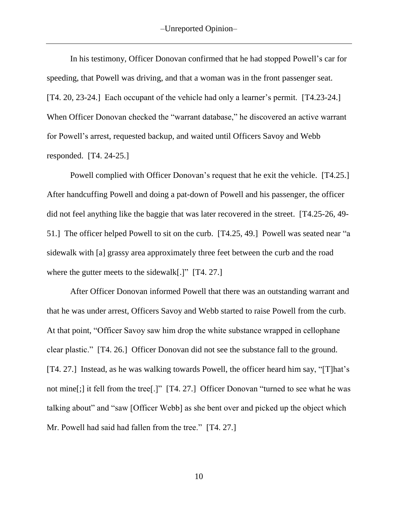In his testimony, Officer Donovan confirmed that he had stopped Powell's car for speeding, that Powell was driving, and that a woman was in the front passenger seat. [T4. 20, 23-24.] Each occupant of the vehicle had only a learner's permit. [T4.23-24.] When Officer Donovan checked the "warrant database," he discovered an active warrant for Powell's arrest, requested backup, and waited until Officers Savoy and Webb responded. [T4. 24-25.]

Powell complied with Officer Donovan's request that he exit the vehicle. [T4.25.] After handcuffing Powell and doing a pat-down of Powell and his passenger, the officer did not feel anything like the baggie that was later recovered in the street. [T4.25-26, 49- 51.] The officer helped Powell to sit on the curb. [T4.25, 49.] Powell was seated near "a sidewalk with [a] grassy area approximately three feet between the curb and the road where the gutter meets to the sidewalk<sup>[1]</sup> [T4. 27.]

After Officer Donovan informed Powell that there was an outstanding warrant and that he was under arrest, Officers Savoy and Webb started to raise Powell from the curb. At that point, "Officer Savoy saw him drop the white substance wrapped in cellophane clear plastic." [T4. 26.] Officer Donovan did not see the substance fall to the ground. [T4. 27.] Instead, as he was walking towards Powell, the officer heard him say, "[T]hat's not mine[;] it fell from the tree[.]" [T4. 27.] Officer Donovan "turned to see what he was talking about" and "saw [Officer Webb] as she bent over and picked up the object which Mr. Powell had said had fallen from the tree." [T4. 27.]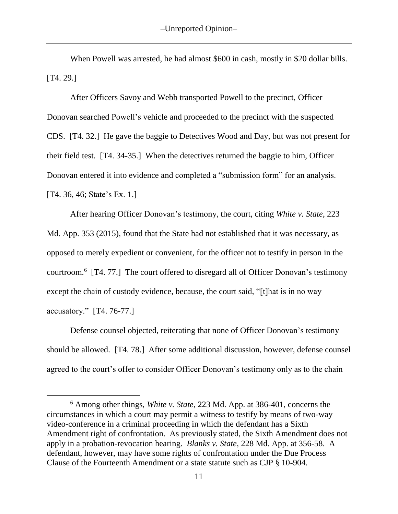When Powell was arrested, he had almost \$600 in cash, mostly in \$20 dollar bills. [T4. 29.]

After Officers Savoy and Webb transported Powell to the precinct, Officer Donovan searched Powell's vehicle and proceeded to the precinct with the suspected CDS. [T4. 32.] He gave the baggie to Detectives Wood and Day, but was not present for their field test. [T4. 34-35.] When the detectives returned the baggie to him, Officer Donovan entered it into evidence and completed a "submission form" for an analysis. [T4. 36, 46; State's Ex. 1.]

After hearing Officer Donovan's testimony, the court, citing *White v. State*, 223 Md. App. 353 (2015), found that the State had not established that it was necessary, as opposed to merely expedient or convenient, for the officer not to testify in person in the courtroom. 6 [T4. 77.] The court offered to disregard all of Officer Donovan's testimony except the chain of custody evidence, because, the court said, "[t]hat is in no way accusatory." [T4. 76-77.]

Defense counsel objected, reiterating that none of Officer Donovan's testimony should be allowed. [T4. 78.] After some additional discussion, however, defense counsel agreed to the court's offer to consider Officer Donovan's testimony only as to the chain

 $\overline{a}$ 

<sup>6</sup> Among other things, *White v. State*, 223 Md. App. at 386-401, concerns the circumstances in which a court may permit a witness to testify by means of two-way video-conference in a criminal proceeding in which the defendant has a Sixth Amendment right of confrontation. As previously stated, the Sixth Amendment does not apply in a probation-revocation hearing. *Blanks v. State*, 228 Md. App. at 356-58. A defendant, however, may have some rights of confrontation under the Due Process Clause of the Fourteenth Amendment or a state statute such as CJP § 10-904.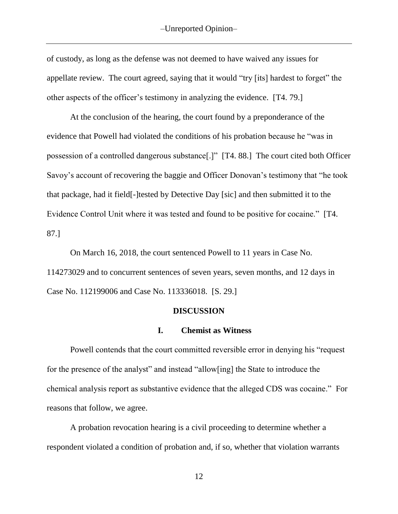of custody, as long as the defense was not deemed to have waived any issues for appellate review. The court agreed, saying that it would "try [its] hardest to forget" the other aspects of the officer's testimony in analyzing the evidence. [T4. 79.]

At the conclusion of the hearing, the court found by a preponderance of the evidence that Powell had violated the conditions of his probation because he "was in possession of a controlled dangerous substance[.]" [T4. 88.] The court cited both Officer Savoy's account of recovering the baggie and Officer Donovan's testimony that "he took that package, had it field[-]tested by Detective Day [sic] and then submitted it to the Evidence Control Unit where it was tested and found to be positive for cocaine." [T4. 87.]

On March 16, 2018, the court sentenced Powell to 11 years in Case No. 114273029 and to concurrent sentences of seven years, seven months, and 12 days in Case No. 112199006 and Case No. 113336018. [S. 29.]

#### **DISCUSSION**

### **I. Chemist as Witness**

Powell contends that the court committed reversible error in denying his "request for the presence of the analyst" and instead "allow[ing] the State to introduce the chemical analysis report as substantive evidence that the alleged CDS was cocaine." For reasons that follow, we agree.

A probation revocation hearing is a civil proceeding to determine whether a respondent violated a condition of probation and, if so, whether that violation warrants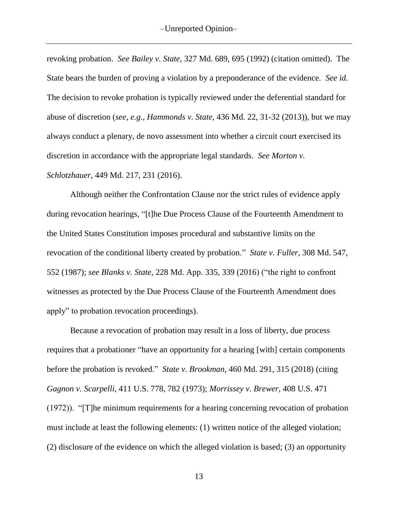revoking probation. *See Bailey v. State,* 327 Md. 689, 695 (1992) (citation omitted). The State bears the burden of proving a violation by a preponderance of the evidence. *See id.* The decision to revoke probation is typically reviewed under the deferential standard for abuse of discretion (*see*, *e.g*., *Hammonds v. State*, 436 Md. 22, 31-32 (2013)), but we may always conduct a plenary, de novo assessment into whether a circuit court exercised its discretion in accordance with the appropriate legal standards. *See Morton v. Schlotzhauer*, 449 Md. 217, 231 (2016).

Although neither the Confrontation Clause nor the strict rules of evidence apply during revocation hearings, "[t]he Due Process Clause of the Fourteenth Amendment to the United States Constitution imposes procedural and substantive limits on the revocation of the conditional liberty created by probation." *State v. Fuller*, 308 Md. 547, 552 (1987); *see Blanks v. State*, 228 Md. App. 335, 339 (2016) ("the right to confront witnesses as protected by the Due Process Clause of the Fourteenth Amendment does apply" to probation revocation proceedings).

Because a revocation of probation may result in a loss of liberty, due process requires that a probationer "have an opportunity for a hearing [with] certain components before the probation is revoked." *State v. Brookman*, 460 Md. 291, 315 (2018) (citing *Gagnon v. Scarpelli*, 411 U.S. 778, 782 (1973); *Morrissey v. Brewer*, 408 U.S. 471 (1972)). "[T]he minimum requirements for a hearing concerning revocation of probation must include at least the following elements: (1) written notice of the alleged violation; (2) disclosure of the evidence on which the alleged violation is based; (3) an opportunity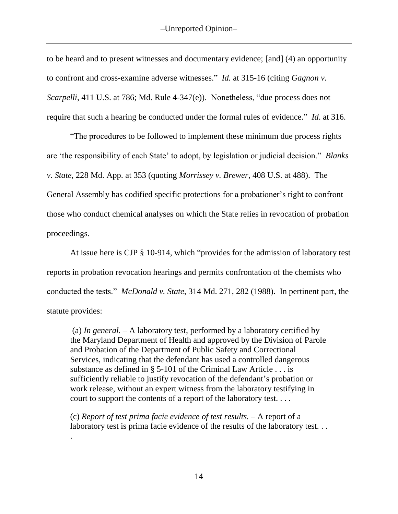to be heard and to present witnesses and documentary evidence; [and] (4) an opportunity to confront and cross-examine adverse witnesses." *Id.* at 315-16 (citing *Gagnon v. Scarpelli*, 411 U.S. at 786; Md. Rule 4-347(e)). Nonetheless, "due process does not require that such a hearing be conducted under the formal rules of evidence." *Id*. at 316.

"The procedures to be followed to implement these minimum due process rights are 'the responsibility of each State' to adopt, by legislation or judicial decision." *Blanks v. State*, 228 Md. App. at 353 (quoting *Morrissey v. Brewer*, 408 U.S. at 488). The General Assembly has codified specific protections for a probationer's right to confront those who conduct chemical analyses on which the State relies in revocation of probation proceedings.

At issue here is CJP § 10-914, which "provides for the admission of laboratory test reports in probation revocation hearings and permits confrontation of the chemists who conducted the tests." *McDonald v. State*, 314 Md. 271, 282 (1988). In pertinent part, the statute provides:

(a) *In general.* – A laboratory test, performed by a laboratory certified by the Maryland Department of Health and approved by the Division of Parole and Probation of the Department of Public Safety and Correctional Services, indicating that the defendant has used a controlled dangerous substance as defined in  $\S$  5-101 of the Criminal Law Article . . . is sufficiently reliable to justify revocation of the defendant's probation or work release, without an expert witness from the laboratory testifying in court to support the contents of a report of the laboratory test. . . .

(c) *Report of test prima facie evidence of test results.* – A report of a laboratory test is prima facie evidence of the results of the laboratory test...

.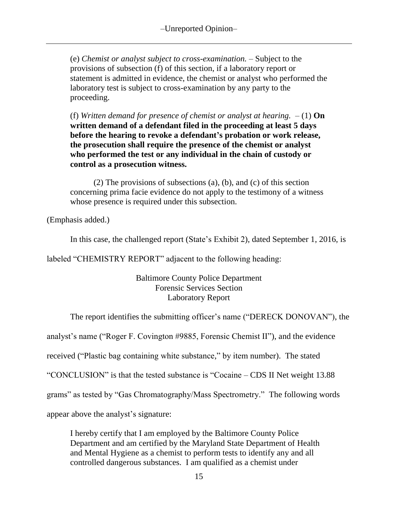(e) *Chemist or analyst subject to cross-examination.* – Subject to the provisions of subsection (f) of this section, if a laboratory report or statement is admitted in evidence, the chemist or analyst who performed the laboratory test is subject to cross-examination by any party to the proceeding.

(f) *Written demand for presence of chemist or analyst at hearing.*  $- (1)$  **On written demand of a defendant filed in the proceeding at least 5 days before the hearing to revoke a defendant's probation or work release, the prosecution shall require the presence of the chemist or analyst who performed the test or any individual in the chain of custody or control as a prosecution witness.**

(2) The provisions of subsections (a), (b), and (c) of this section concerning prima facie evidence do not apply to the testimony of a witness whose presence is required under this subsection.

(Emphasis added.)

In this case, the challenged report (State's Exhibit 2), dated September 1, 2016, is

labeled "CHEMISTRY REPORT" adjacent to the following heading:

Baltimore County Police Department Forensic Services Section Laboratory Report

The report identifies the submitting officer's name ("DERECK DONOVAN"), the

analyst's name ("Roger F. Covington #9885, Forensic Chemist II"), and the evidence

received ("Plastic bag containing white substance," by item number). The stated

"CONCLUSION" is that the tested substance is "Cocaine – CDS II Net weight 13.88

grams" as tested by "Gas Chromatography/Mass Spectrometry." The following words

appear above the analyst's signature:

I hereby certify that I am employed by the Baltimore County Police Department and am certified by the Maryland State Department of Health and Mental Hygiene as a chemist to perform tests to identify any and all controlled dangerous substances. I am qualified as a chemist under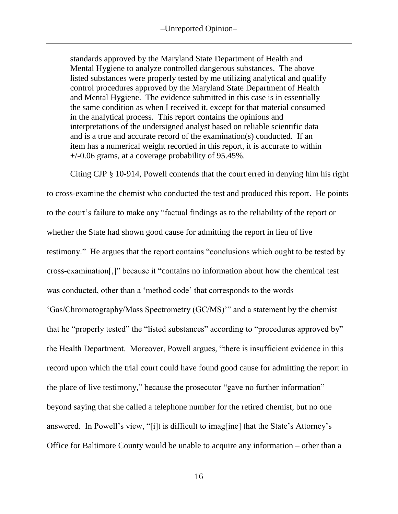standards approved by the Maryland State Department of Health and Mental Hygiene to analyze controlled dangerous substances. The above listed substances were properly tested by me utilizing analytical and qualify control procedures approved by the Maryland State Department of Health and Mental Hygiene. The evidence submitted in this case is in essentially the same condition as when I received it, except for that material consumed in the analytical process. This report contains the opinions and interpretations of the undersigned analyst based on reliable scientific data and is a true and accurate record of the examination(s) conducted. If an item has a numerical weight recorded in this report, it is accurate to within  $+/-0.06$  grams, at a coverage probability of 95.45%.

Citing CJP § 10-914, Powell contends that the court erred in denying him his right to cross-examine the chemist who conducted the test and produced this report. He points to the court's failure to make any "factual findings as to the reliability of the report or whether the State had shown good cause for admitting the report in lieu of live testimony." He argues that the report contains "conclusions which ought to be tested by cross-examination[,]" because it "contains no information about how the chemical test was conducted, other than a 'method code' that corresponds to the words 'Gas/Chromotography/Mass Spectrometry (GC/MS)'" and a statement by the chemist that he "properly tested" the "listed substances" according to "procedures approved by" the Health Department. Moreover, Powell argues, "there is insufficient evidence in this record upon which the trial court could have found good cause for admitting the report in the place of live testimony," because the prosecutor "gave no further information" beyond saying that she called a telephone number for the retired chemist, but no one answered. In Powell's view, "[i]t is difficult to imag[ine] that the State's Attorney's Office for Baltimore County would be unable to acquire any information – other than a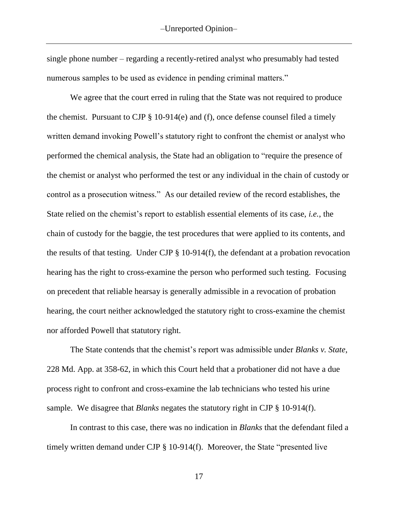single phone number – regarding a recently-retired analyst who presumably had tested numerous samples to be used as evidence in pending criminal matters."

We agree that the court erred in ruling that the State was not required to produce the chemist. Pursuant to CJP § 10-914(e) and (f), once defense counsel filed a timely written demand invoking Powell's statutory right to confront the chemist or analyst who performed the chemical analysis, the State had an obligation to "require the presence of the chemist or analyst who performed the test or any individual in the chain of custody or control as a prosecution witness." As our detailed review of the record establishes, the State relied on the chemist's report to establish essential elements of its case, *i.e.*, the chain of custody for the baggie, the test procedures that were applied to its contents, and the results of that testing. Under CJP § 10-914(f), the defendant at a probation revocation hearing has the right to cross-examine the person who performed such testing. Focusing on precedent that reliable hearsay is generally admissible in a revocation of probation hearing, the court neither acknowledged the statutory right to cross-examine the chemist nor afforded Powell that statutory right.

The State contends that the chemist's report was admissible under *Blanks v. State*, 228 Md. App. at 358-62, in which this Court held that a probationer did not have a due process right to confront and cross-examine the lab technicians who tested his urine sample. We disagree that *Blanks* negates the statutory right in CJP § 10-914(f).

In contrast to this case, there was no indication in *Blanks* that the defendant filed a timely written demand under CJP § 10-914(f). Moreover, the State "presented live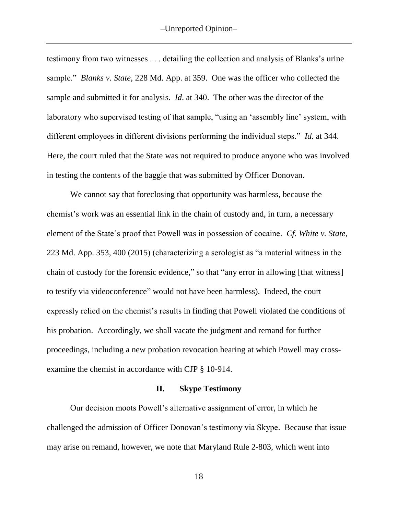testimony from two witnesses . . . detailing the collection and analysis of Blanks's urine sample." *Blanks v. State*, 228 Md. App. at 359. One was the officer who collected the sample and submitted it for analysis. *Id*. at 340. The other was the director of the laboratory who supervised testing of that sample, "using an 'assembly line' system, with different employees in different divisions performing the individual steps." *Id*. at 344. Here, the court ruled that the State was not required to produce anyone who was involved in testing the contents of the baggie that was submitted by Officer Donovan.

We cannot say that foreclosing that opportunity was harmless, because the chemist's work was an essential link in the chain of custody and, in turn, a necessary element of the State's proof that Powell was in possession of cocaine. *Cf. White v. State*, 223 Md. App. 353, 400 (2015) (characterizing a serologist as "a material witness in the chain of custody for the forensic evidence," so that "any error in allowing [that witness] to testify via videoconference" would not have been harmless). Indeed, the court expressly relied on the chemist's results in finding that Powell violated the conditions of his probation. Accordingly, we shall vacate the judgment and remand for further proceedings, including a new probation revocation hearing at which Powell may crossexamine the chemist in accordance with CJP § 10-914.

### **II. Skype Testimony**

Our decision moots Powell's alternative assignment of error, in which he challenged the admission of Officer Donovan's testimony via Skype. Because that issue may arise on remand, however, we note that Maryland Rule 2-803, which went into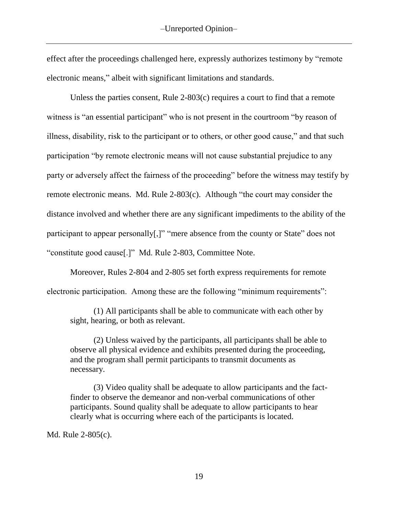effect after the proceedings challenged here, expressly authorizes testimony by "remote electronic means," albeit with significant limitations and standards.

Unless the parties consent, Rule 2-803(c) requires a court to find that a remote witness is "an essential participant" who is not present in the courtroom "by reason of illness, disability, risk to the participant or to others, or other good cause," and that such participation "by remote electronic means will not cause substantial prejudice to any party or adversely affect the fairness of the proceeding" before the witness may testify by remote electronic means. Md. Rule 2-803(c). Although "the court may consider the distance involved and whether there are any significant impediments to the ability of the participant to appear personally[,]" "mere absence from the county or State" does not "constitute good cause[.]" Md. Rule 2-803, Committee Note.

Moreover, Rules 2-804 and 2-805 set forth express requirements for remote electronic participation. Among these are the following "minimum requirements":

(1) All participants shall be able to communicate with each other by sight, hearing, or both as relevant.

(2) Unless waived by the participants, all participants shall be able to observe all physical evidence and exhibits presented during the proceeding, and the program shall permit participants to transmit documents as necessary.

(3) Video quality shall be adequate to allow participants and the factfinder to observe the demeanor and non-verbal communications of other participants. Sound quality shall be adequate to allow participants to hear clearly what is occurring where each of the participants is located.

Md. Rule 2-805(c).